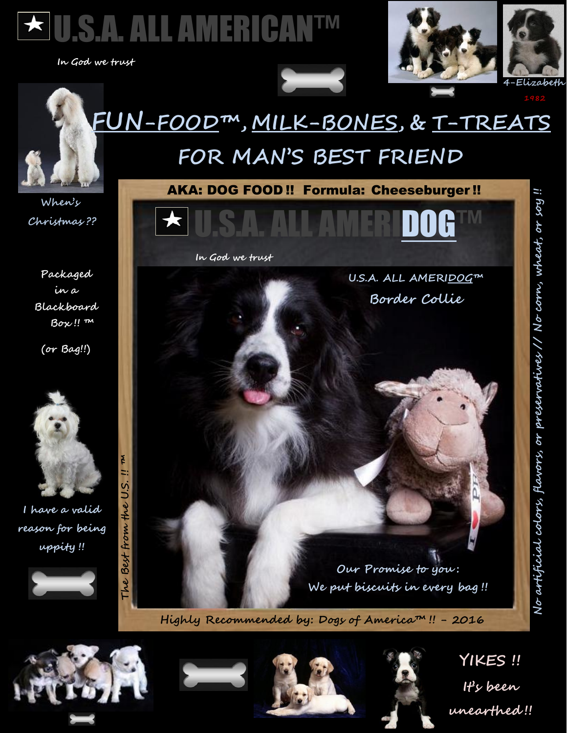

 **In God we trust** 





## **FUN-FOOD™ , MILK-BONES, & T-TREATS FOR MAN'S BEST FRIEND**

**When's Christmas ??**

**Packaged in a Blackboard Box !! ™**

**(or Bag!!)**



**I have a valid reason for being uppity !!**





**Highly Recommended by: Dogs of America™ !! - 2016**





**YIKES !! It's been unearthed !!**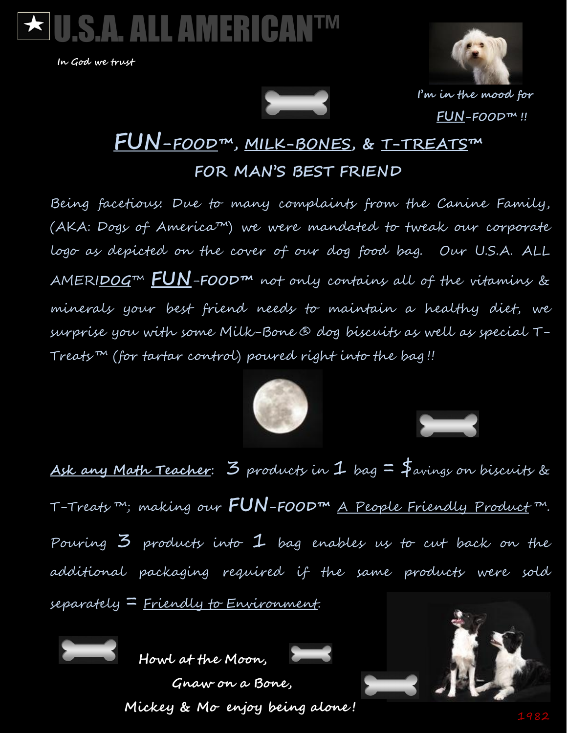

 **In God we trust**





**I'm in the mood for FUN-FOOD™ !!**

## **FUN-FOOD™ , MILK-BONES, & T-TREATS™ FOR MAN'S BEST FRIEND**

Being facetious: Due to many complaints from the Canine Family, (AKA: Dogs of America™) we were mandated to tweak our corporate logo as depicted on the cover of our dog food bag. Our U.S.A. ALL AMERI**DOG**™ **FUN**-**FOOD™** not only contains all of the vitamins & minerals your best friend needs to maintain a healthy diet, we surprise you with some Milk-Bone ® dog biscuits as well as special T-Treats ™ (for tartar control) poured right into the bag !!



 $\overline{\phantom{0}}$ 

**Ask any Math Teacher**: 3 products in 1 bag = \$avings on biscuits & T-Treats ™; making our **FUN-FOOD™** A People Friendly Product ™. Pouring 3 products into 1 bag enables us to cut back on the additional packaging required if the same products were sold separately = Friendly to Environment.



**Howl at the Moon,** 



 **Gnaw on a Bone, Mickey & Mo enjoy being alone !**



JU